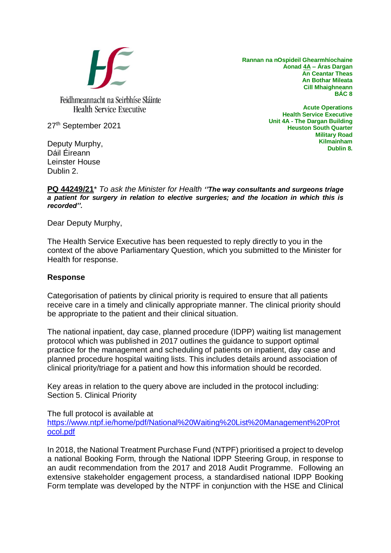

**Rannan na nOspideil Ghearmhíochaine Aonad 4A – Áras Dargan An Ceantar Theas An Bothar Mileata Cill Mhaighneann BÁC 8**

27th September 2021

Deputy Murphy, Dáil Éireann Leinster House Dublin 2.

**Acute Operations Health Service Executive Unit 4A - The Dargan Building Heuston South Quarter Military Road Kilmainham Dublin 8.**

## **PQ 44249/21**\* *To ask the Minister for Health ''The way consultants and surgeons triage a patient for surgery in relation to elective surgeries; and the location in which this is recorded''.*

Dear Deputy Murphy,

The Health Service Executive has been requested to reply directly to you in the context of the above Parliamentary Question, which you submitted to the Minister for Health for response.

## **Response**

Categorisation of patients by clinical priority is required to ensure that all patients receive care in a timely and clinically appropriate manner. The clinical priority should be appropriate to the patient and their clinical situation.

The national inpatient, day case, planned procedure (IDPP) waiting list management protocol which was published in 2017 outlines the guidance to support optimal practice for the management and scheduling of patients on inpatient, day case and planned procedure hospital waiting lists. This includes details around association of clinical priority/triage for a patient and how this information should be recorded.

Key areas in relation to the query above are included in the protocol including: Section 5. Clinical Priority

The full protocol is available at

[https://www.ntpf.ie/home/pdf/National%20Waiting%20List%20Management%20Prot](https://www.ntpf.ie/home/pdf/National%20Waiting%20List%20Management%20Protocol.pdf) [ocol.pdf](https://www.ntpf.ie/home/pdf/National%20Waiting%20List%20Management%20Protocol.pdf)

In 2018, the National Treatment Purchase Fund (NTPF) prioritised a project to develop a national Booking Form, through the National IDPP Steering Group, in response to an audit recommendation from the 2017 and 2018 Audit Programme. Following an extensive stakeholder engagement process, a standardised national IDPP Booking Form template was developed by the NTPF in conjunction with the HSE and Clinical